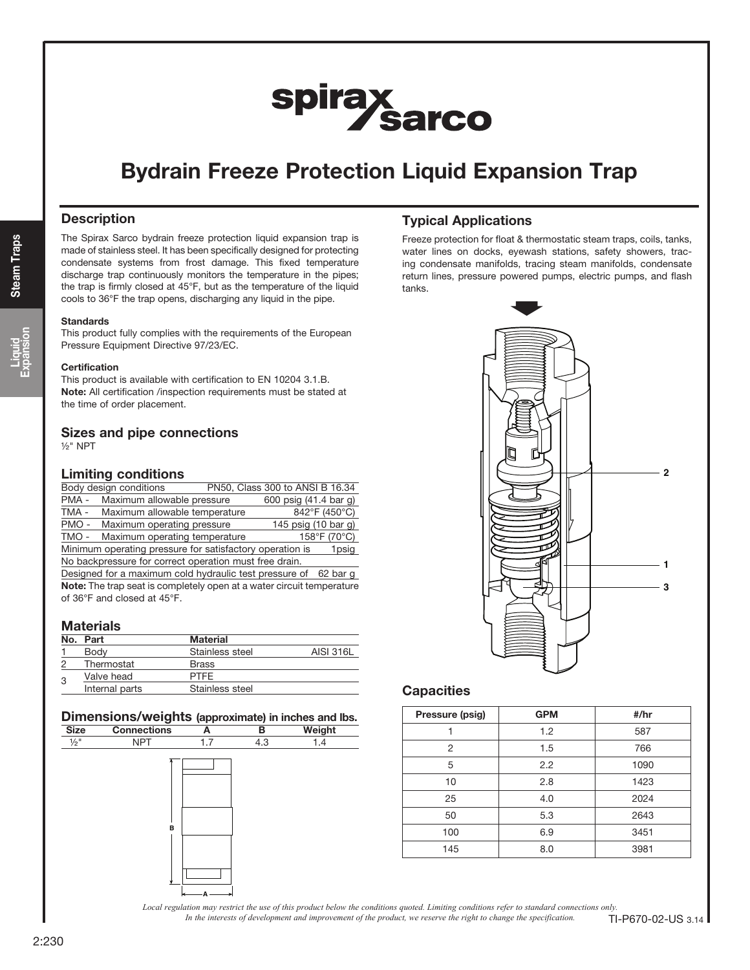# spirax<br>Sarco

### Bydrain Freeze Protection Liquid Expansion Trap

#### **Description**

The Spirax Sarco bydrain freeze protection liquid expansion trap is made of stainless steel. It has been specifically designed for protecting condensate systems from frost damage. This fixed temperature discharge trap continuously monitors the temperature in the pipes; the trap is firmly closed at 45°F, but as the temperature of the liquid cools to 36°F the trap opens, discharging any liquid in the pipe.

#### **Standards**

This product fully complies with the requirements of the European Pressure Equipment Directive 97/23/EC.

#### **Certification**

This product is available with certification to EN 10204 3.1.B. Note: All certification /inspection requirements must be stated at the time of order placement.

#### Sizes and pipe connections ½" NPT

#### Limiting conditions

| Body design conditions                                            |  | PN50, Class 300 to ANSI B 16.34 |              |  |
|-------------------------------------------------------------------|--|---------------------------------|--------------|--|
| Maximum allowable pressure<br>PMA-                                |  | 600 psig (41.4 bar g)           |              |  |
| TMA -<br>Maximum allowable temperature                            |  | 842°F (450°C)                   |              |  |
| PMO-<br>Maximum operating pressure                                |  | 145 psig (10 bar g)             |              |  |
| TMO -<br>Maximum operating temperature                            |  |                                 | 158°F (70°C) |  |
| Minimum operating pressure for satisfactory operation is<br>1psig |  |                                 |              |  |
| No backpressure for correct operation must free drain.            |  |                                 |              |  |

Designed for a maximum cold hydraulic test pressure of 62 bar g Note: The trap seat is completely open at a water circuit temperature of 36°F and closed at 45°F.

#### **Materials**

|  | No. Part       | Material        |           |
|--|----------------|-----------------|-----------|
|  | Body           | Stainless steel | AISI 316L |
|  | Thermostat     | <b>Brass</b>    |           |
|  | Valve head     | <b>PTFF</b>     |           |
|  | Internal parts | Stainless steel |           |

#### Dimensions/weights (approximate) in inches and lbs.

| <b>Size</b>     | <b>Connections</b> | A   | в   | Weight |
|-----------------|--------------------|-----|-----|--------|
| $\frac{1}{2}$ " | <b>NPT</b>         | 1.7 | 4.3 | 1.4    |
|                 | в                  | А   |     |        |

#### Typical Applications

Freeze protection for float & thermostatic steam traps, coils, tanks, water lines on docks, eyewash stations, safety showers, tracing condensate manifolds, tracing steam manifolds, condensate return lines, pressure powered pumps, electric pumps, and flash tanks.



#### **Capacities**

| Pressure (psig) | <b>GPM</b> | #/hr |
|-----------------|------------|------|
|                 | 1.2        | 587  |
| 2               | 1.5        | 766  |
| 5               | 2.2        | 1090 |
| 10              | 2.8        | 1423 |
| 25              | 4.0        | 2024 |
| 50              | 5.3        | 2643 |
| 100             | 6.9        | 3451 |
| 145             | 8.0        | 3981 |

*Local regulation may restrict the use of this product below the conditions quoted. Limiting conditions refer to standard connections only.*

*In the interests of development and improvement of the product, we reserve the right to change the specification.* TI-P670-02-US 3.14